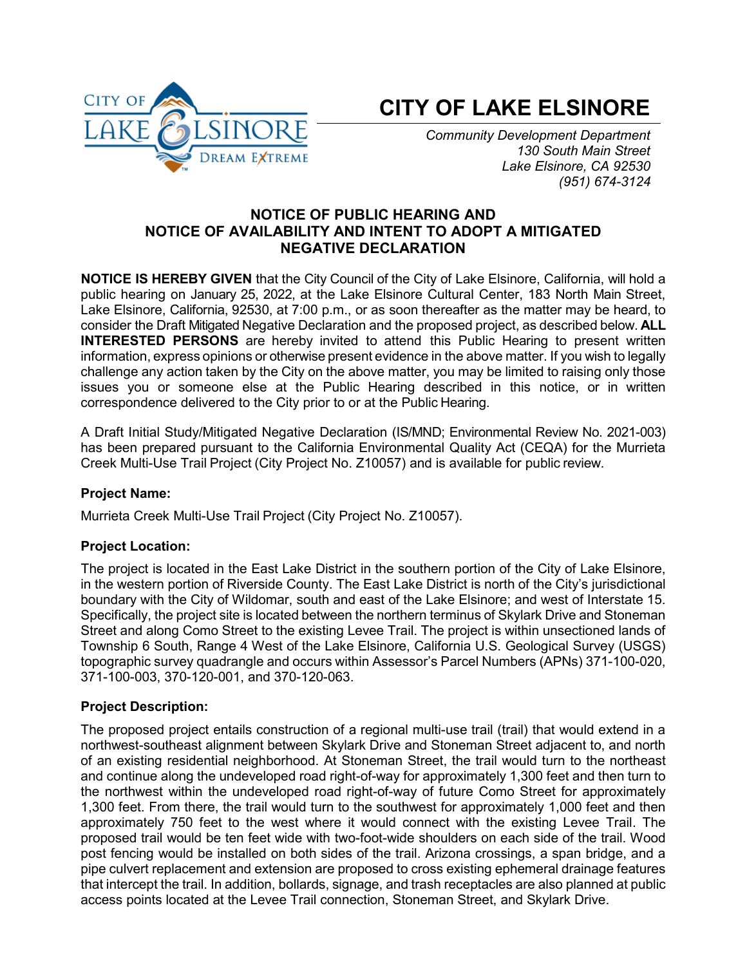

# **CITY OF LAKE ELSINORE**

*Community Development Department 130 South Main Street Lake Elsinore, CA 92530 (951) 674-3124*

## **NOTICE OF PUBLIC HEARING AND NOTICE OF AVAILABILITY AND INTENT TO ADOPT A MITIGATED NEGATIVE DECLARATION**

**NOTICE IS HEREBY GIVEN** that the City Council of the City of Lake Elsinore, California, will hold a public hearing on January 25, 2022, at the Lake Elsinore Cultural Center, 183 North Main Street, Lake Elsinore, California, 92530, at 7:00 p.m., or as soon thereafter as the matter may be heard, to consider the Draft Mitigated Negative Declaration and the proposed project, as described below. **ALL INTERESTED PERSONS** are hereby invited to attend this Public Hearing to present written information, express opinions or otherwise present evidence in the above matter. If you wish to legally challenge any action taken by the City on the above matter, you may be limited to raising only those issues you or someone else at the Public Hearing described in this notice, or in written correspondence delivered to the City prior to or at the Public Hearing.

A Draft Initial Study/Mitigated Negative Declaration (IS/MND; Environmental Review No. 2021-003) has been prepared pursuant to the California Environmental Quality Act (CEQA) for the Murrieta Creek Multi-Use Trail Project (City Project No. Z10057) and is available for public review.

## **Project Name:**

Murrieta Creek Multi-Use Trail Project (City Project No. Z10057).

## **Project Location:**

The project is located in the East Lake District in the southern portion of the City of Lake Elsinore, in the western portion of Riverside County. The East Lake District is north of the City's jurisdictional boundary with the City of Wildomar, south and east of the Lake Elsinore; and west of Interstate 15. Specifically, the project site is located between the northern terminus of Skylark Drive and Stoneman Street and along Como Street to the existing Levee Trail. The project is within unsectioned lands of Township 6 South, Range 4 West of the Lake Elsinore, California U.S. Geological Survey (USGS) topographic survey quadrangle and occurs within Assessor's Parcel Numbers (APNs) 371-100-020, 371-100-003, 370-120-001, and 370-120-063.

## **Project Description:**

The proposed project entails construction of a regional multi-use trail (trail) that would extend in a northwest-southeast alignment between Skylark Drive and Stoneman Street adjacent to, and north of an existing residential neighborhood. At Stoneman Street, the trail would turn to the northeast and continue along the undeveloped road right-of-way for approximately 1,300 feet and then turn to the northwest within the undeveloped road right-of-way of future Como Street for approximately 1,300 feet. From there, the trail would turn to the southwest for approximately 1,000 feet and then approximately 750 feet to the west where it would connect with the existing Levee Trail. The proposed trail would be ten feet wide with two-foot-wide shoulders on each side of the trail. Wood post fencing would be installed on both sides of the trail. Arizona crossings, a span bridge, and a pipe culvert replacement and extension are proposed to cross existing ephemeral drainage features that intercept the trail. In addition, bollards, signage, and trash receptacles are also planned at public access points located at the Levee Trail connection, Stoneman Street, and Skylark Drive.